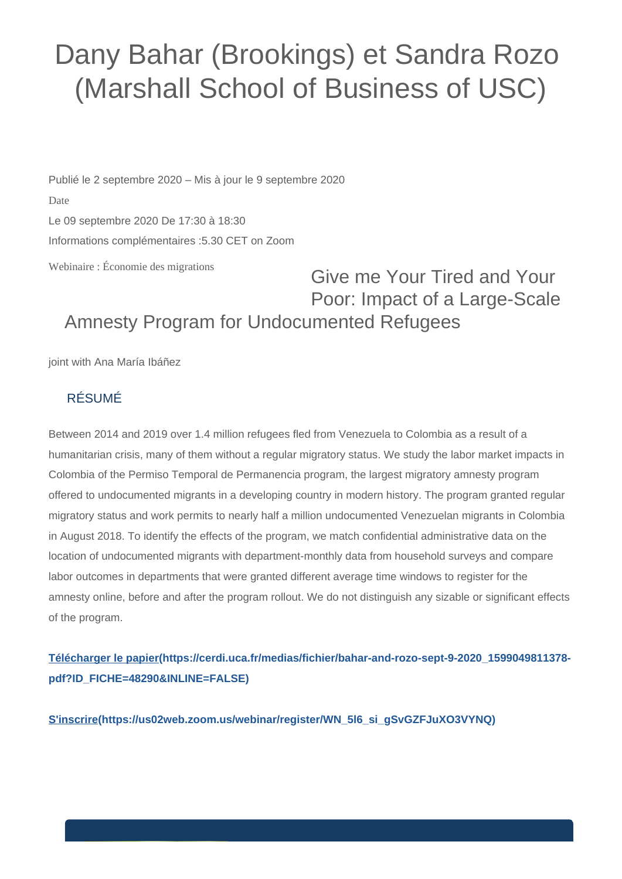## Dany Bahar (Brookings) et Sandra Rozo (Marshall School of Business of USC)

Publié le 2 septembre 2020 – Mis à jour le 9 septembre 2020 Date Le 09 septembre 2020 De 17:30 à 18:30 Informations complémentaires :5.30 CET on Zoom

Webinaire : Économie des migrations

## Give me Your Tired and Your Poor: Impact of a Large-Scale Amnesty Program for Undocumented Refugees

joint with Ana María Ibáñez

## RÉSUMÉ

Between 2014 and 2019 over 1.4 million refugees fled from Venezuela to Colombia as a result of a humanitarian crisis, many of them without a regular migratory status. We study the labor market impacts in Colombia of the Permiso Temporal de Permanencia program, the largest migratory amnesty program offered to undocumented migrants in a developing country in modern history. The program granted regular migratory status and work permits to nearly half a million undocumented Venezuelan migrants in Colombia in August 2018. To identify the effects of the program, we match confidential administrative data on the location of undocumented migrants with department-monthly data from household surveys and compare labor outcomes in departments that were granted different average time windows to register for the amnesty online, before and after the program rollout. We do not distinguish any sizable or significant effects of the program.

**[Télécharger le papier\(https://cerdi.uca.fr/medias/fichier/bahar-and-rozo-sept-9-2020\\_1599049811378](https://cerdi.uca.fr/medias/fichier/bahar-and-rozo-sept-9-2020_1599049811378-pdf?ID_FICHE=48290&INLINE=FALSE) [pdf?ID\\_FICHE=48290&INLINE=FALSE\)](https://cerdi.uca.fr/medias/fichier/bahar-and-rozo-sept-9-2020_1599049811378-pdf?ID_FICHE=48290&INLINE=FALSE)**

**[S'inscrire\(https://us02web.zoom.us/webinar/register/WN\\_5l6\\_si\\_gSvGZFJuXO3VYNQ\)](https://us02web.zoom.us/webinar/register/WN_5l6_si_gSvGZFJuXO3VYNQ)**